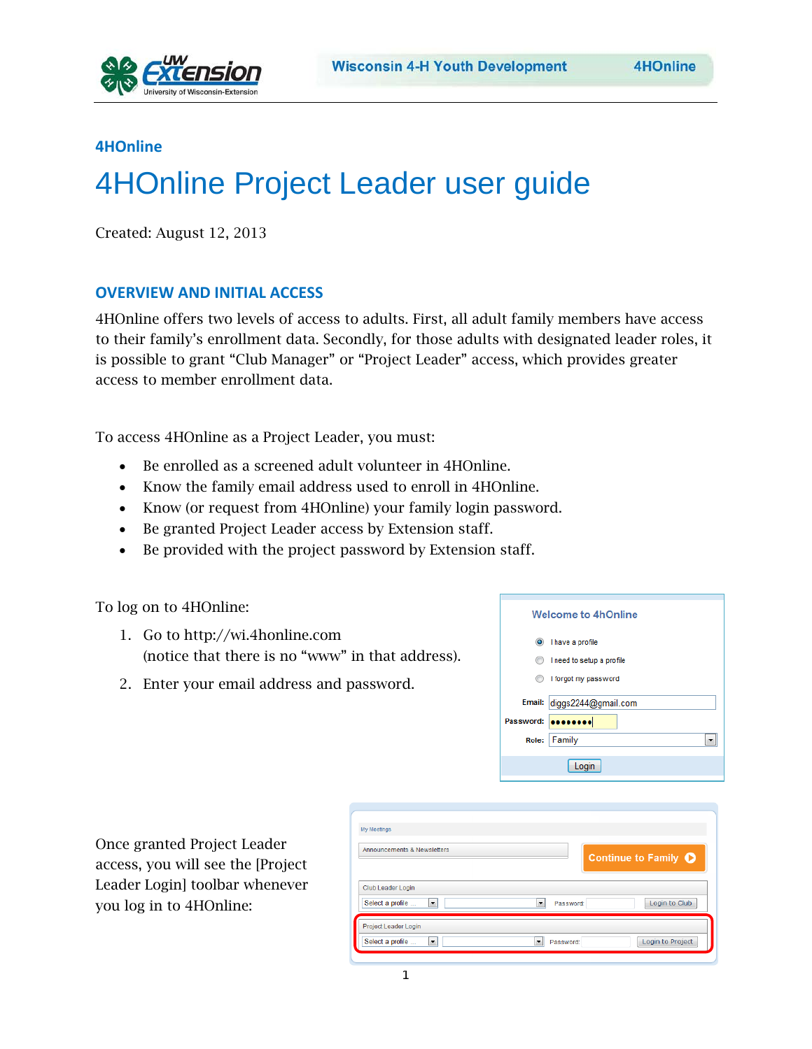

## **4HOnline**

## 4HOnline Project Leader user guide

Created: August 12, 2013

## **OVERVIEW AND INITIAL ACCESS**

4HOnline offers two levels of access to adults. First, all adult family members have access to their family's enrollment data. Secondly, for those adults with designated leader roles, it is possible to grant "Club Manager" or "Project Leader" access, which provides greater access to member enrollment data.

To access 4HOnline as a Project Leader, you must:

- Be enrolled as a screened adult volunteer in 4HOnline.
- Know the family email address used to enroll in 4HOnline.
- Know (or request from 4HOnline) your family login password.
- Be granted Project Leader access by Extension staff.
- Be provided with the project password by Extension staff.

To log on to 4HOnline:

- 1. Go to http://wi.4honline.com (notice that there is no "www" in that address).
- 2. Enter your email address and password.

|           | <b>Welcome to 4hOnline</b> |
|-----------|----------------------------|
| $\odot$   | I have a profile           |
|           | I need to setup a profile  |
|           | I forgot my password       |
| Email:    | diggs2244@gmail.com        |
| Password: |                            |
| Role:     | Family                     |
|           | Login                      |

Once granted Project Leader access, you will see the [Project Leader Login] toolbar whenever you log in to 4HOnline:

| My Meetings<br>Announcements & Newsletters                                             | Continue to Family <b>O</b> |
|----------------------------------------------------------------------------------------|-----------------------------|
| Club Leader Login<br>Select a profile<br>$\overline{\phantom{a}}$<br>Password:<br>▾∥   | Login to Club               |
| Project Leader Login<br>$\overline{\phantom{a}}$<br>Select a profile<br>Password:<br>۰ | Login to Project            |